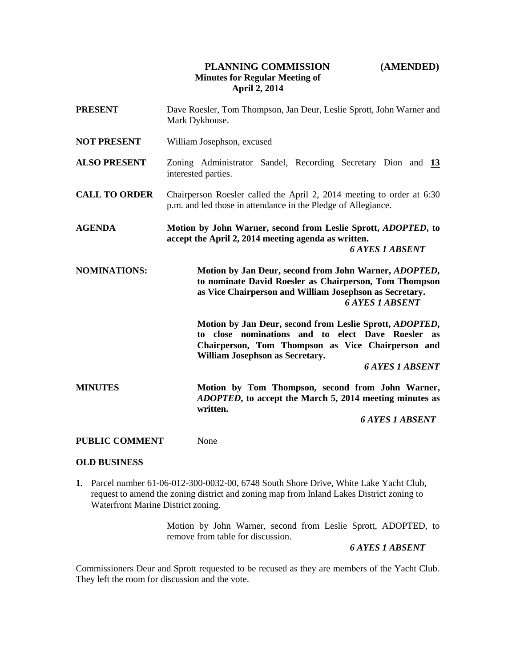# **PLANNING COMMISSION (AMENDED) Minutes for Regular Meeting of April 2, 2014**

| <b>PRESENT</b>        | Dave Roesler, Tom Thompson, Jan Deur, Leslie Sprott, John Warner and<br>Mark Dykhouse.                                                                                                                                                             |  |
|-----------------------|----------------------------------------------------------------------------------------------------------------------------------------------------------------------------------------------------------------------------------------------------|--|
| <b>NOT PRESENT</b>    | William Josephson, excused                                                                                                                                                                                                                         |  |
| <b>ALSO PRESENT</b>   | Zoning Administrator Sandel, Recording Secretary Dion and 13<br>interested parties.                                                                                                                                                                |  |
| <b>CALL TO ORDER</b>  | Chairperson Roesler called the April 2, 2014 meeting to order at 6:30<br>p.m. and led those in attendance in the Pledge of Allegiance.                                                                                                             |  |
| <b>AGENDA</b>         | Motion by John Warner, second from Leslie Sprott, <i>ADOPTED</i> , to<br>accept the April 2, 2014 meeting agenda as written.<br><b>6 AYES 1 ABSENT</b>                                                                                             |  |
| <b>NOMINATIONS:</b>   | Motion by Jan Deur, second from John Warner, ADOPTED,<br>to nominate David Roesler as Chairperson, Tom Thompson<br>as Vice Chairperson and William Josephson as Secretary.<br><b>6 AYES 1 ABSENT</b>                                               |  |
|                       | Motion by Jan Deur, second from Leslie Sprott, ADOPTED,<br>close nominations and to elect Dave Roesler<br>to<br><b>as</b><br>Chairperson, Tom Thompson as Vice Chairperson and<br><b>William Josephson as Secretary.</b><br><b>6 AYES 1 ABSENT</b> |  |
| <b>MINUTES</b>        | Motion by Tom Thompson, second from John Warner,<br>ADOPTED, to accept the March 5, 2014 meeting minutes as<br>written.                                                                                                                            |  |
|                       | <b>6 AYES 1 ABSENT</b>                                                                                                                                                                                                                             |  |
| <b>PUBLIC COMMENT</b> | None                                                                                                                                                                                                                                               |  |

### **OLD BUSINESS**

**1.** Parcel number 61-06-012-300-0032-00, 6748 South Shore Drive, White Lake Yacht Club, request to amend the zoning district and zoning map from Inland Lakes District zoning to Waterfront Marine District zoning.

> Motion by John Warner, second from Leslie Sprott, ADOPTED, to remove from table for discussion.

 *6 AYES 1 ABSENT*

Commissioners Deur and Sprott requested to be recused as they are members of the Yacht Club. They left the room for discussion and the vote.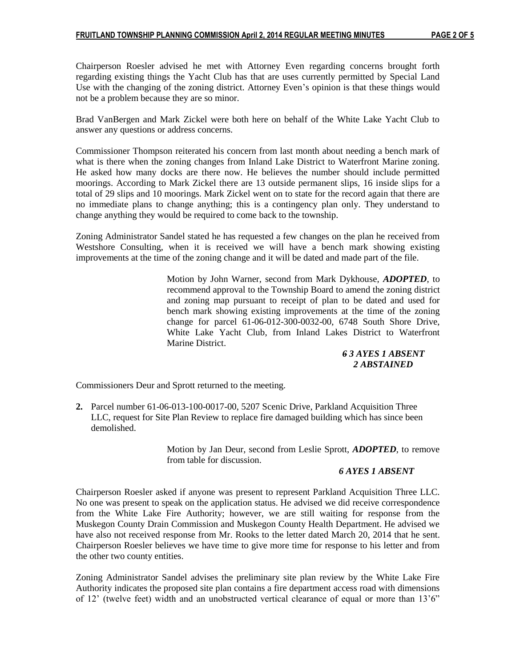Chairperson Roesler advised he met with Attorney Even regarding concerns brought forth regarding existing things the Yacht Club has that are uses currently permitted by Special Land Use with the changing of the zoning district. Attorney Even's opinion is that these things would not be a problem because they are so minor.

Brad VanBergen and Mark Zickel were both here on behalf of the White Lake Yacht Club to answer any questions or address concerns.

Commissioner Thompson reiterated his concern from last month about needing a bench mark of what is there when the zoning changes from Inland Lake District to Waterfront Marine zoning. He asked how many docks are there now. He believes the number should include permitted moorings. According to Mark Zickel there are 13 outside permanent slips, 16 inside slips for a total of 29 slips and 10 moorings. Mark Zickel went on to state for the record again that there are no immediate plans to change anything; this is a contingency plan only. They understand to change anything they would be required to come back to the township.

Zoning Administrator Sandel stated he has requested a few changes on the plan he received from Westshore Consulting, when it is received we will have a bench mark showing existing improvements at the time of the zoning change and it will be dated and made part of the file.

> Motion by John Warner, second from Mark Dykhouse, *ADOPTED*, to recommend approval to the Township Board to amend the zoning district and zoning map pursuant to receipt of plan to be dated and used for bench mark showing existing improvements at the time of the zoning change for parcel 61-06-012-300-0032-00, 6748 South Shore Drive, White Lake Yacht Club, from Inland Lakes District to Waterfront Marine District.

## *6 3 AYES 1 ABSENT 2 ABSTAINED*

Commissioners Deur and Sprott returned to the meeting.

**2.** Parcel number 61-06-013-100-0017-00, 5207 Scenic Drive, Parkland Acquisition Three **1.** LLC, request for Site Plan Review to replace fire damaged building which has since been demolished.

> Motion by Jan Deur, second from Leslie Sprott, *ADOPTED*, to remove from table for discussion.

## *6 AYES 1 ABSENT*

Chairperson Roesler asked if anyone was present to represent Parkland Acquisition Three LLC. No one was present to speak on the application status. He advised we did receive correspondence from the White Lake Fire Authority; however, we are still waiting for response from the Muskegon County Drain Commission and Muskegon County Health Department. He advised we have also not received response from Mr. Rooks to the letter dated March 20, 2014 that he sent. Chairperson Roesler believes we have time to give more time for response to his letter and from the other two county entities.

Zoning Administrator Sandel advises the preliminary site plan review by the White Lake Fire Authority indicates the proposed site plan contains a fire department access road with dimensions of 12' (twelve feet) width and an unobstructed vertical clearance of equal or more than 13'6"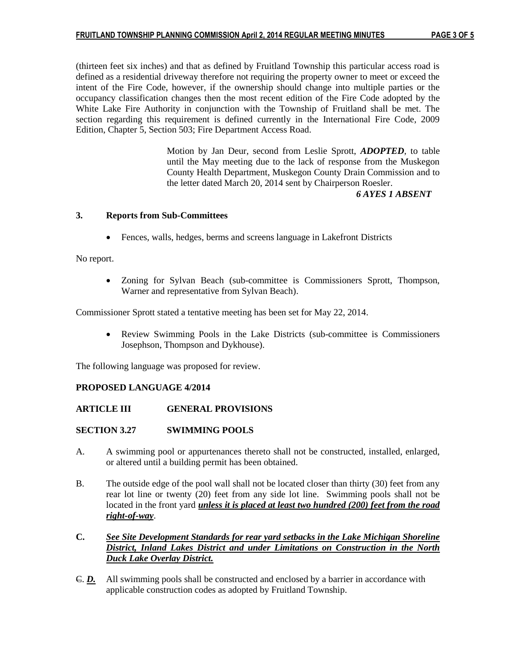(thirteen feet six inches) and that as defined by Fruitland Township this particular access road is defined as a residential driveway therefore not requiring the property owner to meet or exceed the intent of the Fire Code, however, if the ownership should change into multiple parties or the occupancy classification changes then the most recent edition of the Fire Code adopted by the White Lake Fire Authority in conjunction with the Township of Fruitland shall be met. The section regarding this requirement is defined currently in the International Fire Code, 2009 Edition, Chapter 5, Section 503; Fire Department Access Road.

> Motion by Jan Deur, second from Leslie Sprott, *ADOPTED*, to table until the May meeting due to the lack of response from the Muskegon County Health Department, Muskegon County Drain Commission and to the letter dated March 20, 2014 sent by Chairperson Roesler.

 *6 AYES 1 ABSENT*

# **3. Reports from Sub-Committees**

Fences, walls, hedges, berms and screens language in Lakefront Districts

## No report.

 Zoning for Sylvan Beach (sub-committee is Commissioners Sprott, Thompson, Warner and representative from Sylvan Beach).

Commissioner Sprott stated a tentative meeting has been set for May 22, 2014.

 Review Swimming Pools in the Lake Districts (sub-committee is Commissioners Josephson, Thompson and Dykhouse).

The following language was proposed for review.

## **PROPOSED LANGUAGE 4/2014**

## **ARTICLE III GENERAL PROVISIONS**

### **SECTION 3.27 SWIMMING POOLS**

- A. A swimming pool or appurtenances thereto shall not be constructed, installed, enlarged, or altered until a building permit has been obtained.
- B. The outside edge of the pool wall shall not be located closer than thirty (30) feet from any rear lot line or twenty (20) feet from any side lot line. Swimming pools shall not be located in the front yard *unless it is placed at least two hundred (200) feet from the road right-of-way*.
- **C.** *See Site Development Standards for rear yard setbacks in the Lake Michigan Shoreline District, Inland Lakes District and under Limitations on Construction in the North Duck Lake Overlay District.*
- C. *D.* All swimming pools shall be constructed and enclosed by a barrier in accordance with applicable construction codes as adopted by Fruitland Township.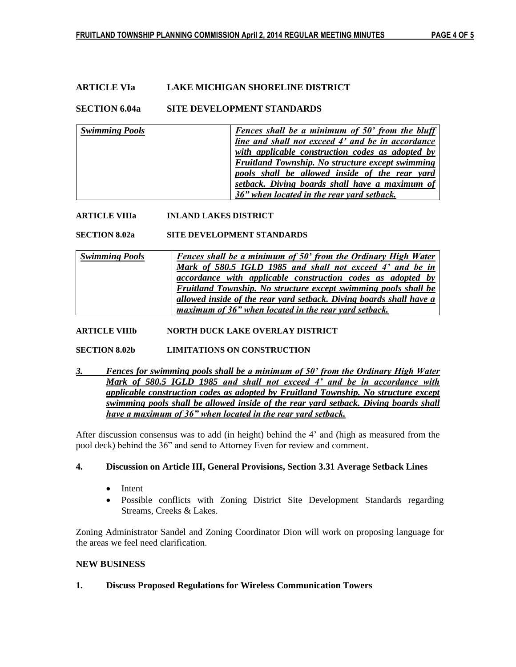## **ARTICLE VIa LAKE MICHIGAN SHORELINE DISTRICT**

### **SECTION 6.04a SITE DEVELOPMENT STANDARDS**

| <b>Swimming Pools</b> | <b>Fences shall be a minimum of 50' from the bluff</b> |
|-----------------------|--------------------------------------------------------|
|                       | line and shall not exceed 4' and be in accordance      |
|                       | with applicable construction codes as adopted by       |
|                       | Fruitland Township. No structure except swimming       |
|                       | pools shall be allowed inside of the rear yard         |
|                       | setback. Diving boards shall have a maximum of         |
|                       | 36" when located in the rear yard setback.             |

### **ARTICLE VIIIa INLAND LAKES DISTRICT**

**SECTION 8.02a SITE DEVELOPMENT STANDARDS**

| <b>Swimming Pools</b> | <b>Fences shall be a minimum of 50' from the Ordinary High Water</b> |
|-----------------------|----------------------------------------------------------------------|
|                       | Mark of 580.5 IGLD 1985 and shall not exceed 4' and be in            |
|                       | accordance with applicable construction codes as adopted by          |
|                       | Fruitland Township. No structure except swimming pools shall be      |
|                       | allowed inside of the rear yard setback. Diving boards shall have a  |
|                       | maximum of 36" when located in the rear yard setback.                |

#### **ARTICLE VIIIb NORTH DUCK LAKE OVERLAY DISTRICT**

#### **SECTION 8.02b LIMITATIONS ON CONSTRUCTION**

*3. Fences for swimming pools shall be a minimum of 50' from the Ordinary High Water Mark of 580.5 IGLD 1985 and shall not exceed 4' and be in accordance with applicable construction codes as adopted by Fruitland Township. No structure except swimming pools shall be allowed inside of the rear yard setback. Diving boards shall have a maximum of 36" when located in the rear yard setback.*

After discussion consensus was to add (in height) behind the 4' and (high as measured from the pool deck) behind the 36" and send to Attorney Even for review and comment.

### **4. Discussion on Article III, General Provisions, Section 3.31 Average Setback Lines**

- Intent
- Possible conflicts with Zoning District Site Development Standards regarding Streams, Creeks & Lakes.

Zoning Administrator Sandel and Zoning Coordinator Dion will work on proposing language for the areas we feel need clarification.

### **NEW BUSINESS**

### **1. Discuss Proposed Regulations for Wireless Communication Towers**